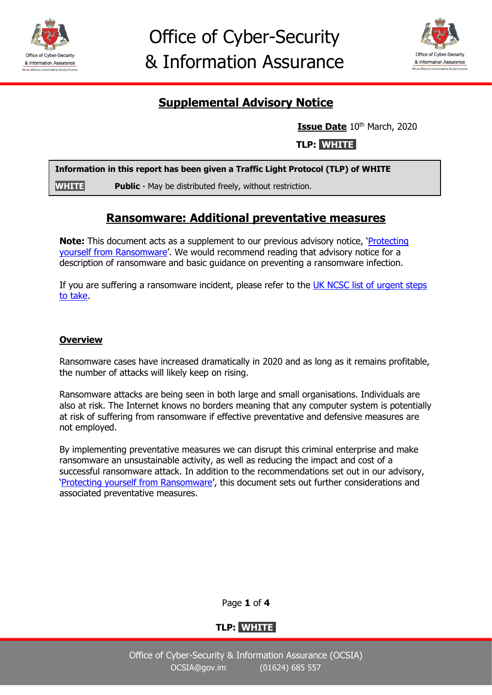



# **Supplemental Advisory Notice**

**Issue Date** 10<sup>th</sup> March, 2020

**TLP: WHITE** 

|              | Information in this report has been given a Traffic Light Protocol (TLP) of WHITE |
|--------------|-----------------------------------------------------------------------------------|
| <b>WHITE</b> | <b>Public</b> - May be distributed freely, without restriction.                   |

# **Ransomware: Additional preventative measures**

**Note:** This document acts as a supplement to our previous advisory notice, '[Protecting](https://www.gov.im/media/1368497/ocsia-advisory-protecting-yourself-from-ransomware-feb20.pdf)  [yourself from Ransomware](https://www.gov.im/media/1368497/ocsia-advisory-protecting-yourself-from-ransomware-feb20.pdf)'. We would recommend reading that advisory notice for a description of ransomware and basic guidance on preventing a ransomware infection.

If you are suffering a ransomware incident, please refer to the [UK NCSC list of urgent steps](https://www.ncsc.gov.uk/guidance/mitigating-malware-and-ransomware-attacks#stepsifinfected)  [to take.](https://www.ncsc.gov.uk/guidance/mitigating-malware-and-ransomware-attacks#stepsifinfected)

## **Overview**

Ransomware cases have increased dramatically in 2020 and as long as it remains profitable, the number of attacks will likely keep on rising.

Ransomware attacks are being seen in both large and small organisations. Individuals are also at risk. The Internet knows no borders meaning that any computer system is potentially at risk of suffering from ransomware if effective preventative and defensive measures are not employed.

By implementing preventative measures we can disrupt this criminal enterprise and make ransomware an unsustainable activity, as well as reducing the impact and cost of a successful ransomware attack. In addition to the recommendations set out in our advisory, '[Protecting yourself from Ransomware](https://www.gov.im/media/1368497/ocsia-advisory-protecting-yourself-from-ransomware-feb20.pdf)', this document sets out further considerations and associated preventative measures.

Page **1** of **4**

# **TLP: WHITE s**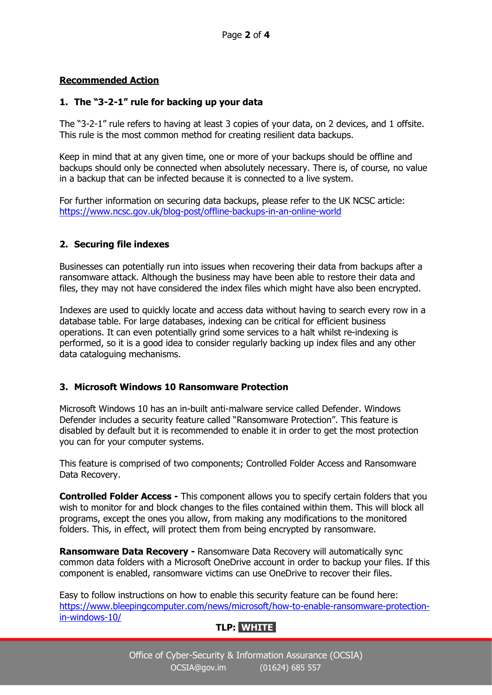### **Recommended Action**

### **1. The "3-2-1" rule for backing up your data**

The "3-2-1" rule refers to having at least 3 copies of your data, on 2 devices, and 1 offsite. This rule is the most common method for creating resilient data backups.

Keep in mind that at any given time, one or more of your backups should be offline and backups should only be connected when absolutely necessary. There is, of course, no value in a backup that can be infected because it is connected to a live system.

For further information on securing data backups, please refer to the UK NCSC article: <https://www.ncsc.gov.uk/blog-post/offline-backups-in-an-online-world>

### **2. Securing file indexes**

Businesses can potentially run into issues when recovering their data from backups after a ransomware attack. Although the business may have been able to restore their data and files, they may not have considered the index files which might have also been encrypted.

Indexes are used to quickly locate and access data without having to search every row in a database table. For large databases, indexing can be critical for efficient business operations. It can even potentially grind some services to a halt whilst re-indexing is performed, so it is a good idea to consider regularly backing up index files and any other data cataloguing mechanisms.

#### **3. Microsoft Windows 10 Ransomware Protection**

Microsoft Windows 10 has an in-built anti-malware service called Defender. Windows Defender includes a security feature called "Ransomware Protection". This feature is disabled by default but it is recommended to enable it in order to get the most protection you can for your computer systems.

This feature is comprised of two components; Controlled Folder Access and Ransomware Data Recovery.

**Controlled Folder Access -** This component allows you to specify certain folders that you wish to monitor for and block changes to the files contained within them. This will block all programs, except the ones you allow, from making any modifications to the monitored folders. This, in effect, will protect them from being encrypted by ransomware.

**Ransomware Data Recovery -** Ransomware Data Recovery will automatically sync common data folders with a Microsoft OneDrive account in order to backup your files. If this component is enabled, ransomware victims can use OneDrive to recover their files.

Easy to follow instructions on how to enable this security feature can be found here: [https://www.bleepingcomputer.com/news/microsoft/how-to-enable-ransomware-protection](https://www.bleepingcomputer.com/news/microsoft/how-to-enable-ransomware-protection-in-windows-10/)[in-windows-10/](https://www.bleepingcomputer.com/news/microsoft/how-to-enable-ransomware-protection-in-windows-10/)

# **TLP: WHITE s**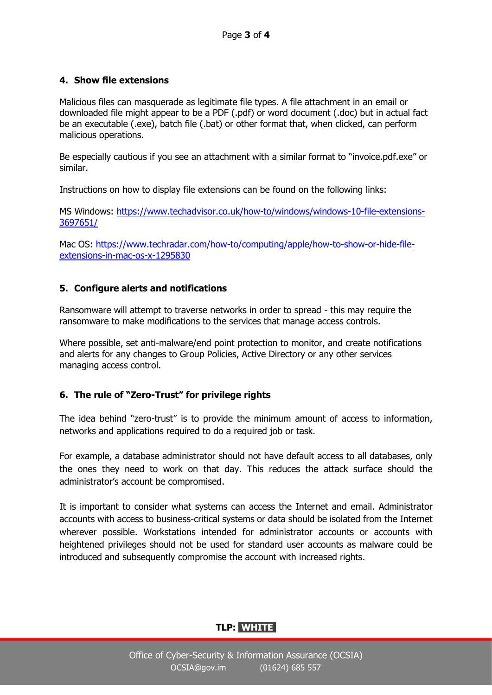## **4. Show file extensions**

Malicious files can masquerade as legitimate file types. A file attachment in an email or downloaded file might appear to be a PDF (.pdf) or word document (.doc) but in actual fact be an executable (.exe), batch file (.bat) or other format that, when clicked, can perform malicious operations.

Be especially cautious if you see an attachment with a similar format to "invoice.pdf.exe" or similar.

Instructions on how to display file extensions can be found on the following links:

MS Windows: [https://www.techadvisor.co.uk/how-to/windows/windows-10-file-extensions-](https://www.techadvisor.co.uk/how-to/windows/windows-10-file-extensions-3697651/)[3697651/](https://www.techadvisor.co.uk/how-to/windows/windows-10-file-extensions-3697651/)

Mac OS: [https://www.techradar.com/how-to/computing/apple/how-to-show-or-hide-file](https://www.techradar.com/how-to/computing/apple/how-to-show-or-hide-file-extensions-in-mac-os-x-1295830)[extensions-in-mac-os-x-1295830](https://www.techradar.com/how-to/computing/apple/how-to-show-or-hide-file-extensions-in-mac-os-x-1295830)

# **5. Configure alerts and notifications**

Ransomware will attempt to traverse networks in order to spread - this may require the ransomware to make modifications to the services that manage access controls.

Where possible, set anti-malware/end point protection to monitor, and create notifications and alerts for any changes to Group Policies, Active Directory or any other services managing access control.

## **6. The rule of "Zero-Trust" for privilege rights**

The idea behind "zero-trust" is to provide the minimum amount of access to information, networks and applications required to do a required job or task.

For example, a database administrator should not have default access to all databases, only the ones they need to work on that day. This reduces the attack surface should the administrator's account be compromised.

It is important to consider what systems can access the Internet and email. Administrator accounts with access to business-critical systems or data should be isolated from the Internet wherever possible. Workstations intended for administrator accounts or accounts with heightened privileges should not be used for standard user accounts as malware could be introduced and subsequently compromise the account with increased rights.

# **TLP: WHITE s**